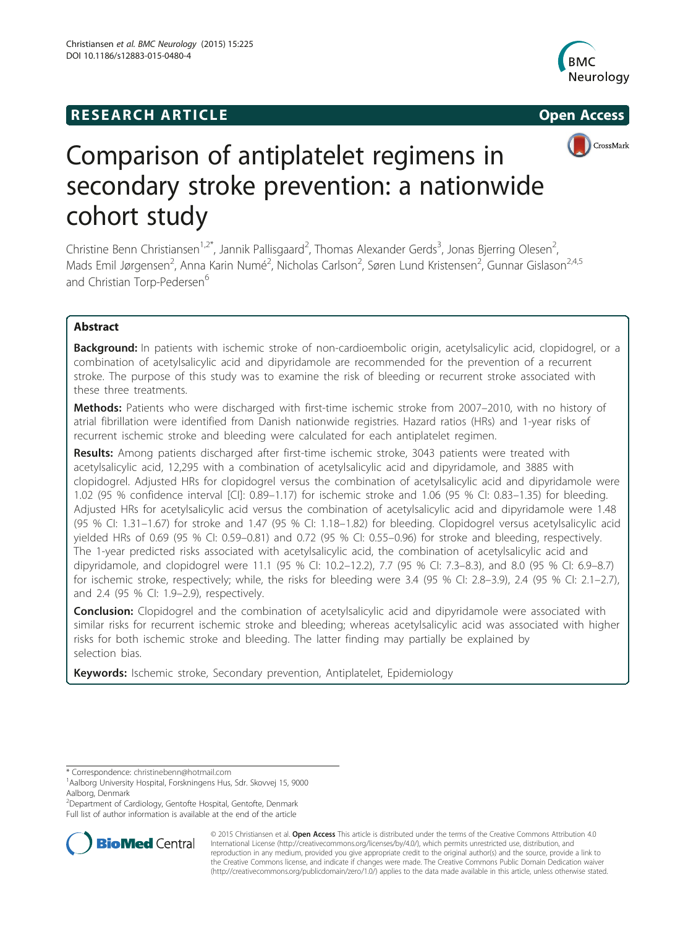# **RESEARCH ARTICLE Example 2014 12:30 The SEAR CHA RESEARCH ARTICLE**







# Comparison of antiplatelet regimens in secondary stroke prevention: a nationwide cohort study

Christine Benn Christiansen<sup>1,2\*</sup>, Jannik Pallisgaard<sup>2</sup>, Thomas Alexander Gerds<sup>3</sup>, Jonas Bjerring Olesen<sup>2</sup> , Mads Emil Jørgensen<sup>2</sup>, Anna Karin Numé<sup>2</sup>, Nicholas Carlson<sup>2</sup>, Søren Lund Kristensen<sup>2</sup>, Gunnar Gislason<sup>2,4,5</sup> and Christian Torp-Pedersen<sup>6</sup>

# Abstract

Background: In patients with ischemic stroke of non-cardioembolic origin, acetylsalicylic acid, clopidogrel, or a combination of acetylsalicylic acid and dipyridamole are recommended for the prevention of a recurrent stroke. The purpose of this study was to examine the risk of bleeding or recurrent stroke associated with these three treatments.

Methods: Patients who were discharged with first-time ischemic stroke from 2007–2010, with no history of atrial fibrillation were identified from Danish nationwide registries. Hazard ratios (HRs) and 1-year risks of recurrent ischemic stroke and bleeding were calculated for each antiplatelet regimen.

Results: Among patients discharged after first-time ischemic stroke, 3043 patients were treated with acetylsalicylic acid, 12,295 with a combination of acetylsalicylic acid and dipyridamole, and 3885 with clopidogrel. Adjusted HRs for clopidogrel versus the combination of acetylsalicylic acid and dipyridamole were 1.02 (95 % confidence interval [CI]: 0.89–1.17) for ischemic stroke and 1.06 (95 % CI: 0.83–1.35) for bleeding. Adjusted HRs for acetylsalicylic acid versus the combination of acetylsalicylic acid and dipyridamole were 1.48 (95 % CI: 1.31–1.67) for stroke and 1.47 (95 % CI: 1.18–1.82) for bleeding. Clopidogrel versus acetylsalicylic acid yielded HRs of 0.69 (95 % CI: 0.59–0.81) and 0.72 (95 % CI: 0.55–0.96) for stroke and bleeding, respectively. The 1-year predicted risks associated with acetylsalicylic acid, the combination of acetylsalicylic acid and dipyridamole, and clopidogrel were 11.1 (95 % CI: 10.2–12.2), 7.7 (95 % CI: 7.3–8.3), and 8.0 (95 % CI: 6.9–8.7) for ischemic stroke, respectively; while, the risks for bleeding were 3.4 (95 % CI: 2.8–3.9), 2.4 (95 % CI: 2.1–2.7), and 2.4 (95 % CI: 1.9–2.9), respectively.

**Conclusion:** Clopidogrel and the combination of acetylsalicylic acid and dipyridamole were associated with similar risks for recurrent ischemic stroke and bleeding; whereas acetylsalicylic acid was associated with higher risks for both ischemic stroke and bleeding. The latter finding may partially be explained by selection bias.

Keywords: Ischemic stroke, Secondary prevention, Antiplatelet, Epidemiology

\* Correspondence: [christinebenn@hotmail.com](mailto:christinebenn@hotmail.com) <sup>1</sup>

2 Department of Cardiology, Gentofte Hospital, Gentofte, Denmark Full list of author information is available at the end of the article



© 2015 Christiansen et al. Open Access This article is distributed under the terms of the Creative Commons Attribution 4.0 International License [\(http://creativecommons.org/licenses/by/4.0/](http://creativecommons.org/licenses/by/4.0/)), which permits unrestricted use, distribution, and reproduction in any medium, provided you give appropriate credit to the original author(s) and the source, provide a link to the Creative Commons license, and indicate if changes were made. The Creative Commons Public Domain Dedication waiver [\(http://creativecommons.org/publicdomain/zero/1.0/](http://creativecommons.org/publicdomain/zero/1.0/)) applies to the data made available in this article, unless otherwise stated.

<sup>&</sup>lt;sup>1</sup> Aalborg University Hospital, Forskningens Hus, Sdr. Skovvej 15, 9000 Aalborg, Denmark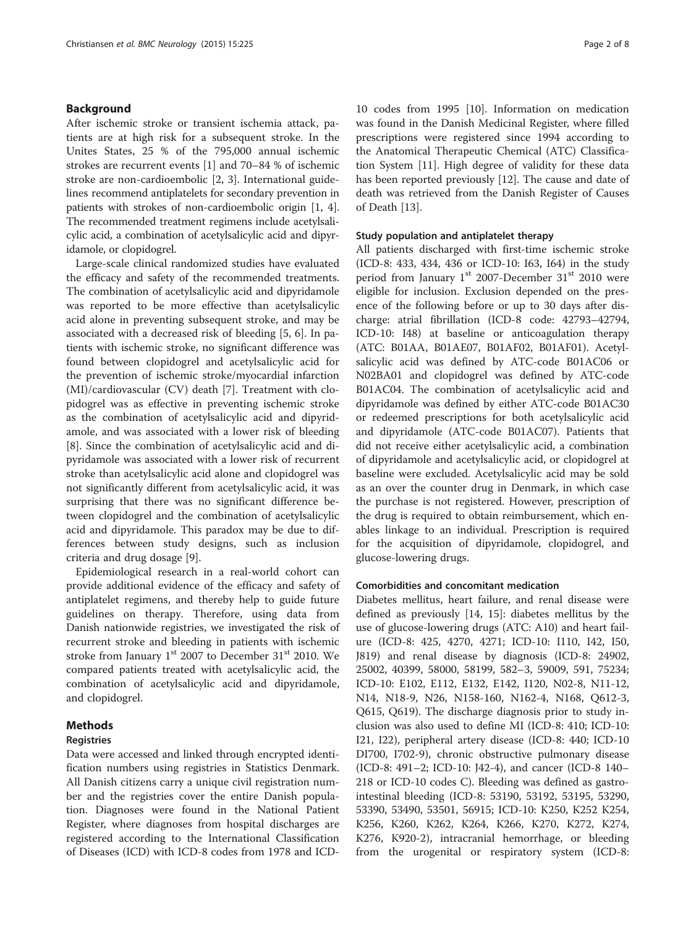# Background

After ischemic stroke or transient ischemia attack, patients are at high risk for a subsequent stroke. In the Unites States, 25 % of the 795,000 annual ischemic strokes are recurrent events [[1\]](#page-7-0) and 70–84 % of ischemic stroke are non-cardioembolic [[2](#page-7-0), [3\]](#page-7-0). International guidelines recommend antiplatelets for secondary prevention in patients with strokes of non-cardioembolic origin [\[1](#page-7-0), [4](#page-7-0)]. The recommended treatment regimens include acetylsalicylic acid, a combination of acetylsalicylic acid and dipyridamole, or clopidogrel.

Large-scale clinical randomized studies have evaluated the efficacy and safety of the recommended treatments. The combination of acetylsalicylic acid and dipyridamole was reported to be more effective than acetylsalicylic acid alone in preventing subsequent stroke, and may be associated with a decreased risk of bleeding [\[5](#page-7-0), [6](#page-7-0)]. In patients with ischemic stroke, no significant difference was found between clopidogrel and acetylsalicylic acid for the prevention of ischemic stroke/myocardial infarction (MI)/cardiovascular (CV) death [\[7](#page-7-0)]. Treatment with clopidogrel was as effective in preventing ischemic stroke as the combination of acetylsalicylic acid and dipyridamole, and was associated with a lower risk of bleeding [[8\]](#page-7-0). Since the combination of acetylsalicylic acid and dipyridamole was associated with a lower risk of recurrent stroke than acetylsalicylic acid alone and clopidogrel was not significantly different from acetylsalicylic acid, it was surprising that there was no significant difference between clopidogrel and the combination of acetylsalicylic acid and dipyridamole. This paradox may be due to differences between study designs, such as inclusion criteria and drug dosage [\[9\]](#page-7-0).

Epidemiological research in a real-world cohort can provide additional evidence of the efficacy and safety of antiplatelet regimens, and thereby help to guide future guidelines on therapy. Therefore, using data from Danish nationwide registries, we investigated the risk of recurrent stroke and bleeding in patients with ischemic stroke from January  $1<sup>st</sup>$  2007 to December 31 $<sup>st</sup>$  2010. We</sup> compared patients treated with acetylsalicylic acid, the combination of acetylsalicylic acid and dipyridamole, and clopidogrel.

# Methods

# Registries

Data were accessed and linked through encrypted identification numbers using registries in Statistics Denmark. All Danish citizens carry a unique civil registration number and the registries cover the entire Danish population. Diagnoses were found in the National Patient Register, where diagnoses from hospital discharges are registered according to the International Classification of Diseases (ICD) with ICD-8 codes from 1978 and ICD- 10 codes from 1995 [[10\]](#page-7-0). Information on medication was found in the Danish Medicinal Register, where filled prescriptions were registered since 1994 according to the Anatomical Therapeutic Chemical (ATC) Classification System [\[11\]](#page-7-0). High degree of validity for these data has been reported previously [[12](#page-7-0)]. The cause and date of death was retrieved from the Danish Register of Causes of Death [\[13](#page-7-0)].

# Study population and antiplatelet therapy

All patients discharged with first-time ischemic stroke (ICD-8: 433, 434, 436 or ICD-10: I63, I64) in the study period from January  $1^{st}$  2007-December  $31^{st}$  2010 were eligible for inclusion. Exclusion depended on the presence of the following before or up to 30 days after discharge: atrial fibrillation (ICD-8 code: 42793–42794, ICD-10: I48) at baseline or anticoagulation therapy (ATC: B01AA, B01AE07, B01AF02, B01AF01). Acetylsalicylic acid was defined by ATC-code B01AC06 or N02BA01 and clopidogrel was defined by ATC-code B01AC04. The combination of acetylsalicylic acid and dipyridamole was defined by either ATC-code B01AC30 or redeemed prescriptions for both acetylsalicylic acid and dipyridamole (ATC-code B01AC07). Patients that did not receive either acetylsalicylic acid, a combination of dipyridamole and acetylsalicylic acid, or clopidogrel at baseline were excluded. Acetylsalicylic acid may be sold as an over the counter drug in Denmark, in which case the purchase is not registered. However, prescription of the drug is required to obtain reimbursement, which enables linkage to an individual. Prescription is required for the acquisition of dipyridamole, clopidogrel, and glucose-lowering drugs.

## Comorbidities and concomitant medication

Diabetes mellitus, heart failure, and renal disease were defined as previously [\[14](#page-7-0), [15](#page-7-0)]: diabetes mellitus by the use of glucose-lowering drugs (ATC: A10) and heart failure (ICD-8: 425, 4270, 4271; ICD-10: I110, I42, I50, J819) and renal disease by diagnosis (ICD-8: 24902, 25002, 40399, 58000, 58199, 582–3, 59009, 591, 75234; ICD-10: E102, E112, E132, E142, I120, N02-8, N11-12, N14, N18-9, N26, N158-160, N162-4, N168, Q612-3, Q615, Q619). The discharge diagnosis prior to study inclusion was also used to define MI (ICD-8: 410; ICD-10: I21, I22), peripheral artery disease (ICD-8: 440; ICD-10 DI700, I702-9), chronic obstructive pulmonary disease (ICD-8: 491–2; ICD-10: J42-4), and cancer (ICD-8 140– 218 or ICD-10 codes C). Bleeding was defined as gastrointestinal bleeding (ICD-8: 53190, 53192, 53195, 53290, 53390, 53490, 53501, 56915; ICD-10: K250, K252 K254, K256, K260, K262, K264, K266, K270, K272, K274, K276, K920-2), intracranial hemorrhage, or bleeding from the urogenital or respiratory system (ICD-8: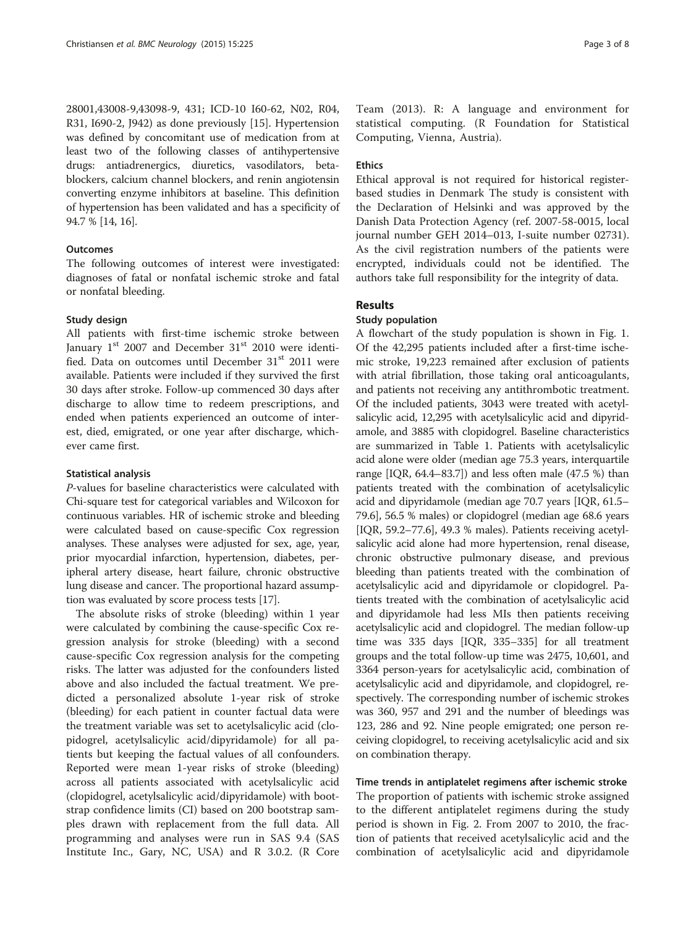28001,43008-9,43098-9, 431; ICD-10 I60-62, N02, R04, R31, I690-2, J942) as done previously [\[15\]](#page-7-0). Hypertension was defined by concomitant use of medication from at least two of the following classes of antihypertensive drugs: antiadrenergics, diuretics, vasodilators, betablockers, calcium channel blockers, and renin angiotensin converting enzyme inhibitors at baseline. This definition of hypertension has been validated and has a specificity of 94.7 % [\[14, 16](#page-7-0)].

# **Outcomes**

The following outcomes of interest were investigated: diagnoses of fatal or nonfatal ischemic stroke and fatal or nonfatal bleeding.

# Study design

All patients with first-time ischemic stroke between January  $1<sup>st</sup>$  2007 and December  $31<sup>st</sup>$  2010 were identified. Data on outcomes until December 31st 2011 were available. Patients were included if they survived the first 30 days after stroke. Follow-up commenced 30 days after discharge to allow time to redeem prescriptions, and ended when patients experienced an outcome of interest, died, emigrated, or one year after discharge, whichever came first.

# Statistical analysis

P-values for baseline characteristics were calculated with Chi-square test for categorical variables and Wilcoxon for continuous variables. HR of ischemic stroke and bleeding were calculated based on cause-specific Cox regression analyses. These analyses were adjusted for sex, age, year, prior myocardial infarction, hypertension, diabetes, peripheral artery disease, heart failure, chronic obstructive lung disease and cancer. The proportional hazard assumption was evaluated by score process tests [[17](#page-7-0)].

The absolute risks of stroke (bleeding) within 1 year were calculated by combining the cause-specific Cox regression analysis for stroke (bleeding) with a second cause-specific Cox regression analysis for the competing risks. The latter was adjusted for the confounders listed above and also included the factual treatment. We predicted a personalized absolute 1-year risk of stroke (bleeding) for each patient in counter factual data were the treatment variable was set to acetylsalicylic acid (clopidogrel, acetylsalicylic acid/dipyridamole) for all patients but keeping the factual values of all confounders. Reported were mean 1-year risks of stroke (bleeding) across all patients associated with acetylsalicylic acid (clopidogrel, acetylsalicylic acid/dipyridamole) with bootstrap confidence limits (CI) based on 200 bootstrap samples drawn with replacement from the full data. All programming and analyses were run in SAS 9.4 (SAS Institute Inc., Gary, NC, USA) and R 3.0.2. (R Core

Team (2013). R: A language and environment for statistical computing. (R Foundation for Statistical Computing, Vienna, Austria).

# Ethics

Ethical approval is not required for historical registerbased studies in Denmark The study is consistent with the Declaration of Helsinki and was approved by the Danish Data Protection Agency (ref. 2007-58-0015, local journal number GEH 2014–013, I-suite number 02731). As the civil registration numbers of the patients were encrypted, individuals could not be identified. The authors take full responsibility for the integrity of data.

# Results

# Study population

A flowchart of the study population is shown in Fig. [1](#page-3-0). Of the 42,295 patients included after a first-time ischemic stroke, 19,223 remained after exclusion of patients with atrial fibrillation, those taking oral anticoagulants, and patients not receiving any antithrombotic treatment. Of the included patients, 3043 were treated with acetylsalicylic acid, 12,295 with acetylsalicylic acid and dipyridamole, and 3885 with clopidogrel. Baseline characteristics are summarized in Table [1](#page-3-0). Patients with acetylsalicylic acid alone were older (median age 75.3 years, interquartile range [IQR, 64.4–83.7]) and less often male (47.5 %) than patients treated with the combination of acetylsalicylic acid and dipyridamole (median age 70.7 years [IQR, 61.5– 79.6], 56.5 % males) or clopidogrel (median age 68.6 years [IQR, 59.2–77.6], 49.3 % males). Patients receiving acetylsalicylic acid alone had more hypertension, renal disease, chronic obstructive pulmonary disease, and previous bleeding than patients treated with the combination of acetylsalicylic acid and dipyridamole or clopidogrel. Patients treated with the combination of acetylsalicylic acid and dipyridamole had less MIs then patients receiving acetylsalicylic acid and clopidogrel. The median follow-up time was 335 days [IQR, 335–335] for all treatment groups and the total follow-up time was 2475, 10,601, and 3364 person-years for acetylsalicylic acid, combination of acetylsalicylic acid and dipyridamole, and clopidogrel, respectively. The corresponding number of ischemic strokes was 360, 957 and 291 and the number of bleedings was 123, 286 and 92. Nine people emigrated; one person receiving clopidogrel, to receiving acetylsalicylic acid and six on combination therapy.

# Time trends in antiplatelet regimens after ischemic stroke

The proportion of patients with ischemic stroke assigned to the different antiplatelet regimens during the study period is shown in Fig. [2](#page-4-0). From 2007 to 2010, the fraction of patients that received acetylsalicylic acid and the combination of acetylsalicylic acid and dipyridamole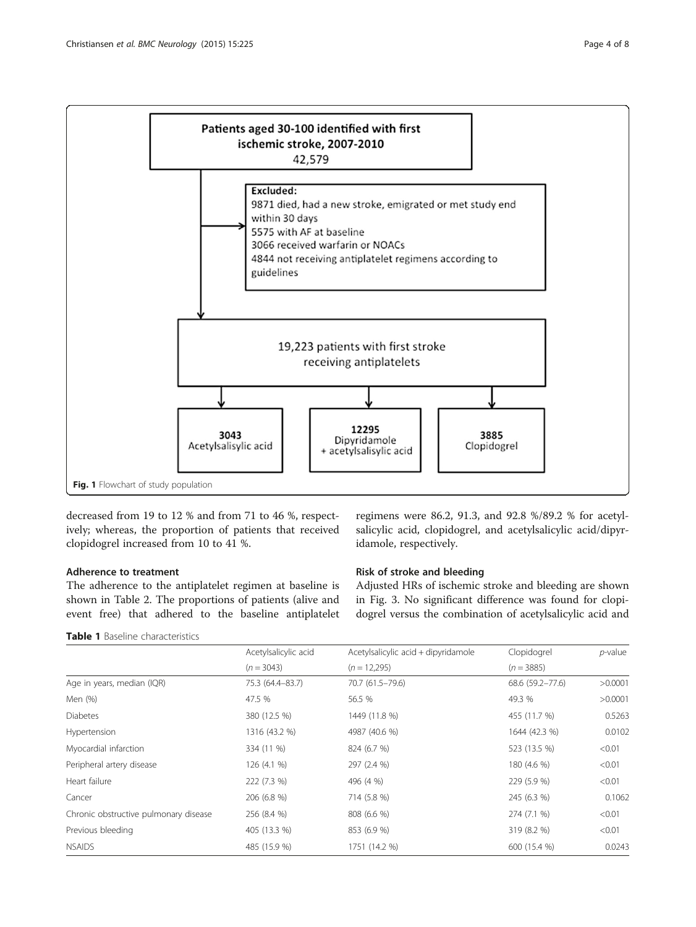<span id="page-3-0"></span>

decreased from 19 to 12 % and from 71 to 46 %, respectively; whereas, the proportion of patients that received clopidogrel increased from 10 to 41 %.

# Adherence to treatment

The adherence to the antiplatelet regimen at baseline is shown in Table [2.](#page-4-0) The proportions of patients (alive and event free) that adhered to the baseline antiplatelet

Table 1 Baseline characteristics

regimens were 86.2, 91.3, and 92.8 %/89.2 % for acetylsalicylic acid, clopidogrel, and acetylsalicylic acid/dipyridamole, respectively.

# Risk of stroke and bleeding

Adjusted HRs of ischemic stroke and bleeding are shown in Fig. [3](#page-5-0). No significant difference was found for clopidogrel versus the combination of acetylsalicylic acid and

|                                       | Acetylsalicylic acid | Acetylsalicylic acid + dipyridamole | Clopidogrel      | $p$ -value |
|---------------------------------------|----------------------|-------------------------------------|------------------|------------|
|                                       | $(n = 3043)$         | $(n = 12,295)$                      | $(n = 3885)$     |            |
| Age in years, median (IQR)            | 75.3 (64.4-83.7)     | 70.7 (61.5-79.6)                    | 68.6 (59.2-77.6) | >0.0001    |
| Men (%)                               | 47.5 %               | 56.5 %                              | 49.3 %           | >0.0001    |
| <b>Diabetes</b>                       | 380 (12.5 %)         | 1449 (11.8 %)                       | 455 (11.7 %)     | 0.5263     |
| Hypertension                          | 1316 (43.2 %)        | 4987 (40.6 %)                       | 1644 (42.3 %)    | 0.0102     |
| Myocardial infarction                 | 334 (11 %)           | 824 (6.7 %)                         | 523 (13.5 %)     | < 0.01     |
| Peripheral artery disease             | 126 (4.1 %)          | 297 (2.4 %)                         | 180 (4.6 %)      | < 0.01     |
| Heart failure                         | 222 (7.3 %)          | 496 (4 %)                           | 229 (5.9 %)      | < 0.01     |
| Cancer                                | 206 (6.8 %)          | 714 (5.8 %)                         | 245 (6.3 %)      | 0.1062     |
| Chronic obstructive pulmonary disease | 256 (8.4 %)          | 808 (6.6 %)                         | 274 (7.1 %)      | < 0.01     |
| Previous bleeding                     | 405 (13.3 %)         | 853 (6.9 %)                         | 319 (8.2 %)      | < 0.01     |
| <b>NSAIDS</b>                         | 485 (15.9 %)         | 1751 (14.2 %)                       | 600 (15.4 %)     | 0.0243     |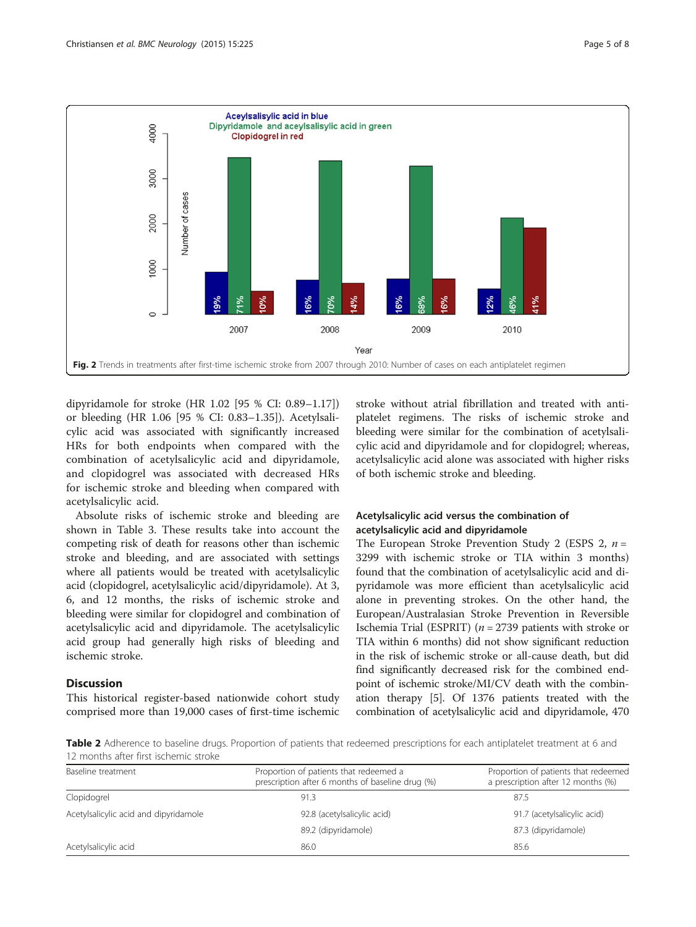<span id="page-4-0"></span>

dipyridamole for stroke (HR 1.02 [95 % CI: 0.89–1.17]) or bleeding (HR 1.06 [95 % CI: 0.83–1.35]). Acetylsalicylic acid was associated with significantly increased HRs for both endpoints when compared with the combination of acetylsalicylic acid and dipyridamole, and clopidogrel was associated with decreased HRs for ischemic stroke and bleeding when compared with acetylsalicylic acid.

Absolute risks of ischemic stroke and bleeding are shown in Table [3.](#page-5-0) These results take into account the competing risk of death for reasons other than ischemic stroke and bleeding, and are associated with settings where all patients would be treated with acetylsalicylic acid (clopidogrel, acetylsalicylic acid/dipyridamole). At 3, 6, and 12 months, the risks of ischemic stroke and bleeding were similar for clopidogrel and combination of acetylsalicylic acid and dipyridamole. The acetylsalicylic acid group had generally high risks of bleeding and ischemic stroke.

# **Discussion**

This historical register-based nationwide cohort study comprised more than 19,000 cases of first-time ischemic

stroke without atrial fibrillation and treated with antiplatelet regimens. The risks of ischemic stroke and bleeding were similar for the combination of acetylsalicylic acid and dipyridamole and for clopidogrel; whereas, acetylsalicylic acid alone was associated with higher risks of both ischemic stroke and bleeding.

# Acetylsalicylic acid versus the combination of acetylsalicylic acid and dipyridamole

The European Stroke Prevention Study 2 (ESPS 2,  $n =$ 3299 with ischemic stroke or TIA within 3 months) found that the combination of acetylsalicylic acid and dipyridamole was more efficient than acetylsalicylic acid alone in preventing strokes. On the other hand, the European/Australasian Stroke Prevention in Reversible Ischemia Trial (ESPRIT) ( $n = 2739$  patients with stroke or TIA within 6 months) did not show significant reduction in the risk of ischemic stroke or all-cause death, but did find significantly decreased risk for the combined endpoint of ischemic stroke/MI/CV death with the combination therapy [[5\]](#page-7-0). Of 1376 patients treated with the combination of acetylsalicylic acid and dipyridamole, 470

Table 2 Adherence to baseline drugs. Proportion of patients that redeemed prescriptions for each antiplatelet treatment at 6 and 12 months after first ischemic stroke

| Baseline treatment                    | Proportion of patients that redeemed a<br>prescription after 6 months of baseline drug (%) | Proportion of patients that redeemed<br>a prescription after 12 months (%) |  |
|---------------------------------------|--------------------------------------------------------------------------------------------|----------------------------------------------------------------------------|--|
| Clopidogrel                           | 91.3                                                                                       | 87.5                                                                       |  |
| Acetylsalicylic acid and dipyridamole | 92.8 (acetylsalicylic acid)                                                                | 91.7 (acetylsalicylic acid)                                                |  |
|                                       | 89.2 (dipyridamole)                                                                        | 87.3 (dipyridamole)                                                        |  |
| Acetylsalicylic acid                  | 86.0                                                                                       | 85.6                                                                       |  |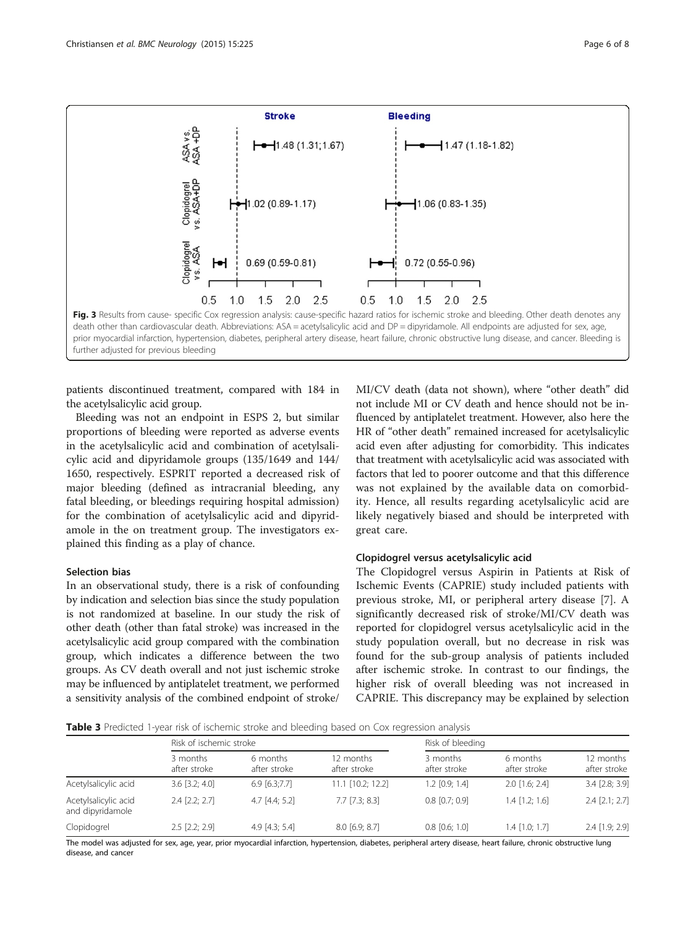<span id="page-5-0"></span>

patients discontinued treatment, compared with 184 in the acetylsalicylic acid group.

Bleeding was not an endpoint in ESPS 2, but similar proportions of bleeding were reported as adverse events in the acetylsalicylic acid and combination of acetylsalicylic acid and dipyridamole groups (135/1649 and 144/ 1650, respectively. ESPRIT reported a decreased risk of major bleeding (defined as intracranial bleeding, any fatal bleeding, or bleedings requiring hospital admission) for the combination of acetylsalicylic acid and dipyridamole in the on treatment group. The investigators explained this finding as a play of chance.

# Selection bias

In an observational study, there is a risk of confounding by indication and selection bias since the study population is not randomized at baseline. In our study the risk of other death (other than fatal stroke) was increased in the acetylsalicylic acid group compared with the combination group, which indicates a difference between the two groups. As CV death overall and not just ischemic stroke may be influenced by antiplatelet treatment, we performed a sensitivity analysis of the combined endpoint of stroke/

MI/CV death (data not shown), where "other death" did not include MI or CV death and hence should not be influenced by antiplatelet treatment. However, also here the HR of "other death" remained increased for acetylsalicylic acid even after adjusting for comorbidity. This indicates that treatment with acetylsalicylic acid was associated with factors that led to poorer outcome and that this difference was not explained by the available data on comorbidity. Hence, all results regarding acetylsalicylic acid are likely negatively biased and should be interpreted with great care.

# Clopidogrel versus acetylsalicylic acid

The Clopidogrel versus Aspirin in Patients at Risk of Ischemic Events (CAPRIE) study included patients with previous stroke, MI, or peripheral artery disease [\[7\]](#page-7-0). A significantly decreased risk of stroke/MI/CV death was reported for clopidogrel versus acetylsalicylic acid in the study population overall, but no decrease in risk was found for the sub-group analysis of patients included after ischemic stroke. In contrast to our findings, the higher risk of overall bleeding was not increased in CAPRIE. This discrepancy may be explained by selection

Table 3 Predicted 1-year risk of ischemic stroke and bleeding based on Cox regression analysis

|                                          | Risk of ischemic stroke  |                          |                           | Risk of bleeding         |                          |                           |
|------------------------------------------|--------------------------|--------------------------|---------------------------|--------------------------|--------------------------|---------------------------|
|                                          | 3 months<br>after stroke | 6 months<br>after stroke | 12 months<br>after stroke | 3 months<br>after stroke | 6 months<br>after stroke | 12 months<br>after stroke |
| Acetylsalicylic acid                     | $3.6$ [ $3.2$ ; $4.0$ ]  | $6.9$ [6.3;7.7]          | 11.1 [10.2; 12.2]         | $1.2$ [0.9; 1.4]         | $2.0$ [1.6; 2.4]         | 3.4 [2.8; 3.9]            |
| Acetylsalicylic acid<br>and dipyridamole | $2.4$ $[2.2; 2.7]$       | $4.7$ [4.4; 5.2]         | $7.7$ $[7.3; 8.3]$        | $0.8$ [0.7; 0.9]         | $1.4$ $[1.2: 1.6]$       | $2.4$ $[2.1; 2.7]$        |
| Clopidogrel                              | $2.5$ $[2.2; 2.9]$       | 4.9 $[4.3; 5.4]$         | $8.0$ [6.9; $8.7$ ]       | $0.8$ [0.6; 1.0]         | $1.4$ [1.0; 1.7]         | 2.4 [1.9; 2.9]            |

The model was adjusted for sex, age, year, prior myocardial infarction, hypertension, diabetes, peripheral artery disease, heart failure, chronic obstructive lung disease, and cancer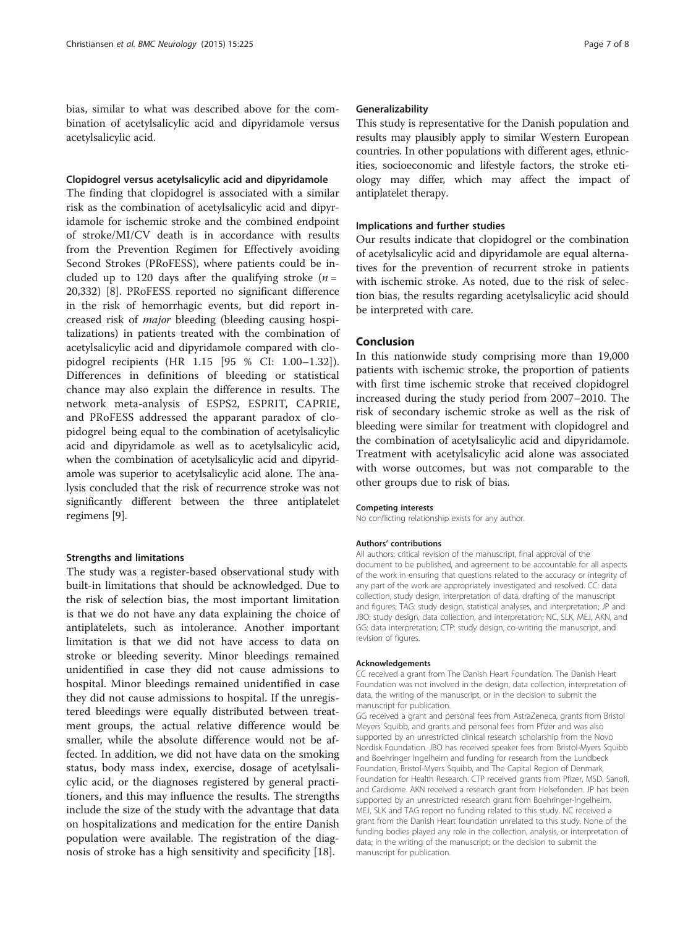bias, similar to what was described above for the combination of acetylsalicylic acid and dipyridamole versus acetylsalicylic acid.

# Clopidogrel versus acetylsalicylic acid and dipyridamole

The finding that clopidogrel is associated with a similar risk as the combination of acetylsalicylic acid and dipyridamole for ischemic stroke and the combined endpoint of stroke/MI/CV death is in accordance with results from the Prevention Regimen for Effectively avoiding Second Strokes (PRoFESS), where patients could be included up to 120 days after the qualifying stroke  $(n =$ 20,332) [[8\]](#page-7-0). PRoFESS reported no significant difference in the risk of hemorrhagic events, but did report increased risk of major bleeding (bleeding causing hospitalizations) in patients treated with the combination of acetylsalicylic acid and dipyridamole compared with clopidogrel recipients (HR 1.15 [95 % CI: 1.00–1.32]). Differences in definitions of bleeding or statistical chance may also explain the difference in results. The network meta-analysis of ESPS2, ESPRIT, CAPRIE, and PRoFESS addressed the apparant paradox of clopidogrel being equal to the combination of acetylsalicylic acid and dipyridamole as well as to acetylsalicylic acid, when the combination of acetylsalicylic acid and dipyridamole was superior to acetylsalicylic acid alone. The analysis concluded that the risk of recurrence stroke was not significantly different between the three antiplatelet regimens [[9\]](#page-7-0).

## Strengths and limitations

The study was a register-based observational study with built-in limitations that should be acknowledged. Due to the risk of selection bias, the most important limitation is that we do not have any data explaining the choice of antiplatelets, such as intolerance. Another important limitation is that we did not have access to data on stroke or bleeding severity. Minor bleedings remained unidentified in case they did not cause admissions to hospital. Minor bleedings remained unidentified in case they did not cause admissions to hospital. If the unregistered bleedings were equally distributed between treatment groups, the actual relative difference would be smaller, while the absolute difference would not be affected. In addition, we did not have data on the smoking status, body mass index, exercise, dosage of acetylsalicylic acid, or the diagnoses registered by general practitioners, and this may influence the results. The strengths include the size of the study with the advantage that data on hospitalizations and medication for the entire Danish population were available. The registration of the diagnosis of stroke has a high sensitivity and specificity [[18](#page-7-0)].

## Generalizability

This study is representative for the Danish population and results may plausibly apply to similar Western European countries. In other populations with different ages, ethnicities, socioeconomic and lifestyle factors, the stroke etiology may differ, which may affect the impact of antiplatelet therapy.

## Implications and further studies

Our results indicate that clopidogrel or the combination of acetylsalicylic acid and dipyridamole are equal alternatives for the prevention of recurrent stroke in patients with ischemic stroke. As noted, due to the risk of selection bias, the results regarding acetylsalicylic acid should be interpreted with care.

# Conclusion

In this nationwide study comprising more than 19,000 patients with ischemic stroke, the proportion of patients with first time ischemic stroke that received clopidogrel increased during the study period from 2007–2010. The risk of secondary ischemic stroke as well as the risk of bleeding were similar for treatment with clopidogrel and the combination of acetylsalicylic acid and dipyridamole. Treatment with acetylsalicylic acid alone was associated with worse outcomes, but was not comparable to the other groups due to risk of bias.

#### Competing interests

No conflicting relationship exists for any author.

## Authors' contributions

All authors: critical revision of the manuscript, final approval of the document to be published, and agreement to be accountable for all aspects of the work in ensuring that questions related to the accuracy or integrity of any part of the work are appropriately investigated and resolved. CC: data collection, study design, interpretation of data, drafting of the manuscript and figures; TAG: study design, statistical analyses, and interpretation; JP and JBO: study design, data collection, and interpretation; NC, SLK, MEJ, AKN, and GG: data interpretation; CTP: study design, co-writing the manuscript, and revision of figures.

### Acknowledgements

CC received a grant from The Danish Heart Foundation. The Danish Heart Foundation was not involved in the design, data collection, interpretation of data, the writing of the manuscript, or in the decision to submit the manuscript for publication.

GG received a grant and personal fees from AstraZeneca, grants from Bristol Meyers Squibb, and grants and personal fees from Pfizer and was also supported by an unrestricted clinical research scholarship from the Novo Nordisk Foundation. JBO has received speaker fees from Bristol-Myers Squibb and Boehringer Ingelheim and funding for research from the Lundbeck Foundation, Bristol-Myers Squibb, and The Capital Region of Denmark, Foundation for Health Research. CTP received grants from Pfizer, MSD, Sanofi, and Cardiome. AKN received a research grant from Helsefonden. JP has been supported by an unrestricted research grant from Boehringer-Ingelheim. MEJ, SLK and TAG report no funding related to this study. NC received a grant from the Danish Heart foundation unrelated to this study. None of the funding bodies played any role in the collection, analysis, or interpretation of data; in the writing of the manuscript; or the decision to submit the manuscript for publication.